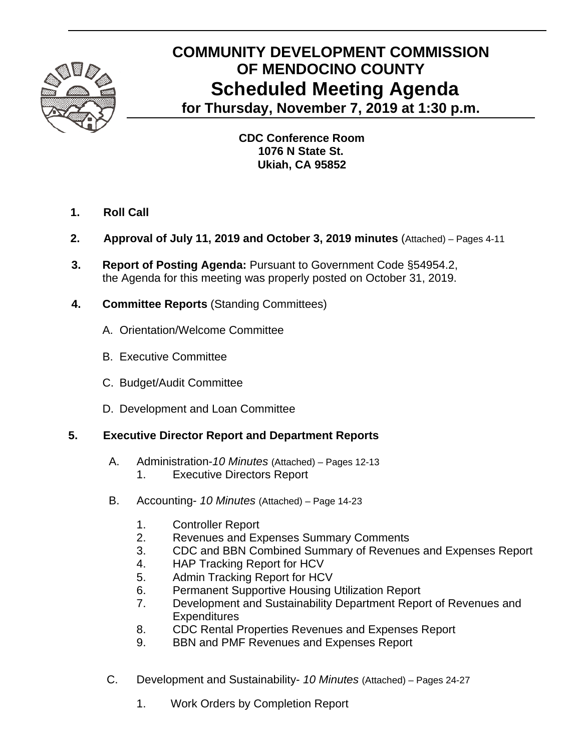

# **COMMUNITY DEVELOPMENT COMMISSION OF MENDOCINO COUNTY Scheduled Meeting Agenda for Thursday, November 7, 2019 at 1:30 p.m.**

 **CDC Conference Room 1076 N State St. Ukiah, CA 95852**

- **1. Roll Call**
- **2. Approval of July 11, 2019 and October 3, 2019 minutes** (Attached) Pages 4-11
- **3. Report of Posting Agenda:** Pursuant to Government Code §54954.2, the Agenda for this meeting was properly posted on October 31, 2019.
- **4. Committee Reports** (Standing Committees)
	- A.Orientation/Welcome Committee
	- B. Executive Committee
	- C. Budget/Audit Committee
	- D. Development and Loan Committee

## **5. Executive Director Report and Department Reports**

- A. Administration-*10 Minutes* (Attached) Pages 12-13
	- 1. Executive Directors Report
- B. Accounting- *10 Minutes* (Attached) Page 14-23
	- 1. Controller Report
	- 2. Revenues and Expenses Summary Comments
	- 3. CDC and BBN Combined Summary of Revenues and Expenses Report
	- 4. HAP Tracking Report for HCV
	- 5. Admin Tracking Report for HCV
	- 6. Permanent Supportive Housing Utilization Report
	- 7. Development and Sustainability Department Report of Revenues and **Expenditures**
	- 8. CDC Rental Properties Revenues and Expenses Report
	- 9. BBN and PMF Revenues and Expenses Report
- C. Development and Sustainability- *10 Minutes* (Attached) Pages 24-27
	- 1. Work Orders by Completion Report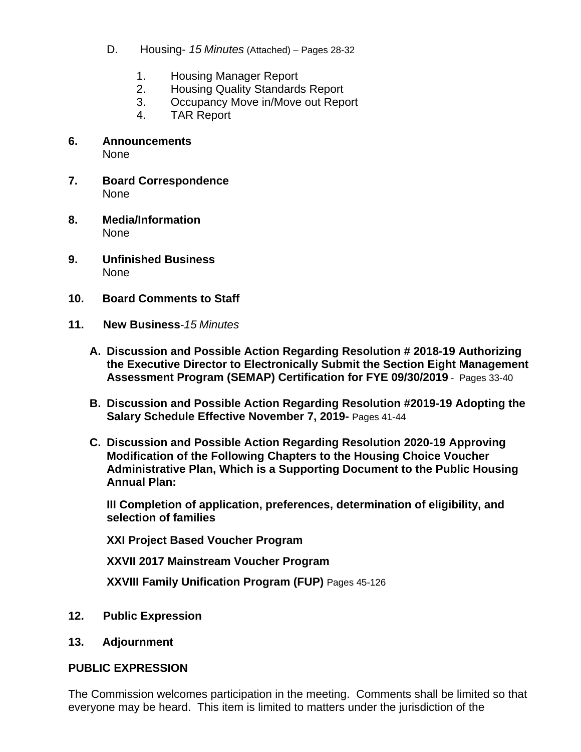- D. Housing- *15 Minutes* (Attached) *–* Pages 28-32
	- 1. Housing Manager Report
	- 2. Housing Quality Standards Report
	- 3. Occupancy Move in/Move out Report
	- 4. TAR Report
- **6. Announcements**  None
- **7. Board Correspondence**  None
- **8. Media/Information**  None
- **9. Unfinished Business**  None
- **10. Board Comments to Staff**
- **11. New Business***-15 Minutes* 
	- **A. Discussion and Possible Action Regarding Resolution # 2018-19 Authorizing the Executive Director to Electronically Submit the Section Eight Management Assessment Program (SEMAP) Certification for FYE 09/30/2019** - Pages 33-40
	- **B. Discussion and Possible Action Regarding Resolution #2019-19 Adopting the Salary Schedule Effective November 7, 2019-** Pages 41-44
	- **C. Discussion and Possible Action Regarding Resolution 2020-19 Approving Modification of the Following Chapters to the Housing Choice Voucher Administrative Plan, Which is a Supporting Document to the Public Housing Annual Plan:**

**III Completion of application, preferences, determination of eligibility, and selection of families** 

**XXI Project Based Voucher Program** 

**XXVII 2017 Mainstream Voucher Program** 

**XXVIII Family Unification Program (FUP)** Pages 45-126

- **12. Public Expression**
- **13. Adjournment**

#### **PUBLIC EXPRESSION**

The Commission welcomes participation in the meeting. Comments shall be limited so that everyone may be heard. This item is limited to matters under the jurisdiction of the